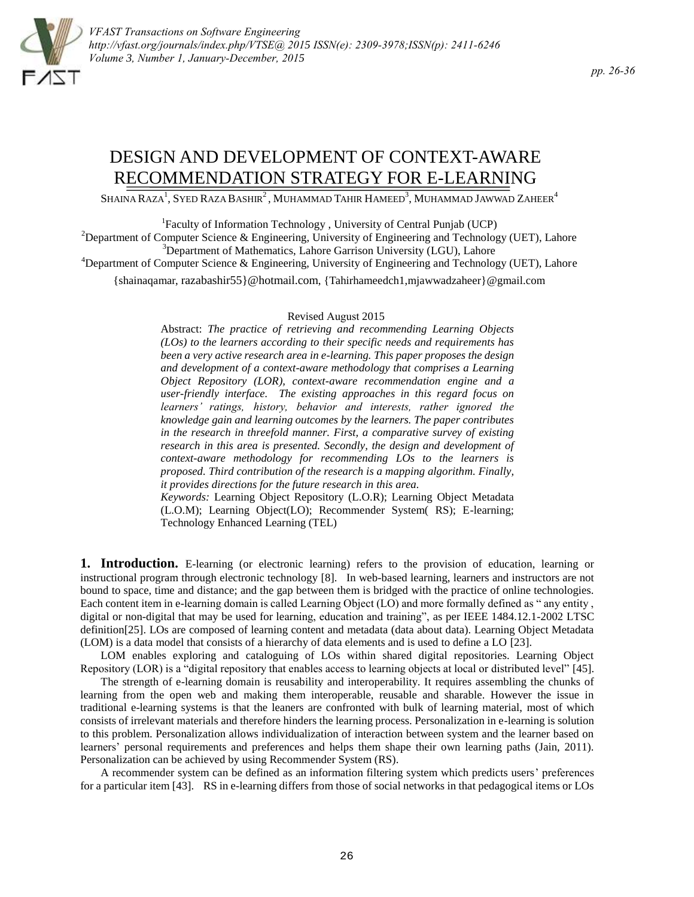

# DESIGN AND DEVELOPMENT OF CONTEXT-AWARE RECOMMENDATION STRATEGY FOR E-LEARNING

SHAINA RAZA<sup>1</sup>, Syed Raza Bashir<sup>2</sup>, Muhammad Tahir Hameed<sup>3</sup>, Muhammad Jawwad Zaheer<sup>4</sup>

<sup>1</sup>Faculty of Information Technology, University of Central Punjab (UCP) <sup>2</sup>Department of Computer Science & Engineering, University of Engineering and Technology (UET), Lahore  $3$ Department of Mathematics, Lahore Garrison University (LGU), Lahore <sup>4</sup>Department of Computer Science & Engineering, University of Engineering and Technology (UET), Lahore {shainaqamar, razabashir55}@hotmail.com, {Tahirhameedch1,mjawwadzaheer}@gmail.com

### [Revised](mailto:razabashir55%7D@hotmail.com) August 2015

Abstract: *The practice of retrieving and recommending Learning Objects (LOs) to the learners according to their specific needs and requirements has been a very active research area in e-learning. This paper proposes the design and development of a context-aware methodology that comprises a Learning Object Repository (LOR), context-aware recommendation engine and a user-friendly interface. The existing approaches in this regard focus on learners' ratings, history, behavior and interests, rather ignored the knowledge gain and learning outcomes by the learners. The paper contributes in the research in threefold manner. First, a comparative survey of existing research in this area is presented. Secondly, the design and development of context-aware methodology for recommending LOs to the learners is proposed. Third contribution of the research is a mapping algorithm. Finally, it provides directions for the future research in this area.* 

*Keywords:* Learning Object Repository (L.O.R); Learning Object Metadata (L.O.M); Learning Object(LO); Recommender System( RS); E-learning; Technology Enhanced Learning (TEL)

**1. Introduction.** E-learning (or electronic learning) refers to the provision of education, learning or instructional program through electronic technology [8]. In web-based learning, learners and instructors are not bound to space, time and distance; and the gap between them is bridged with the practice of online technologies. Each content item in e-learning domain is called Learning Object (LO) and more formally defined as " any entity , digital or non-digital that may be used for learning, education and training", as per IEEE 1484.12.1-2002 LTSC definition[25]. LOs are composed of learning content and metadata (data about data). Learning Object Metadata (LOM) is a data model that consists of a hierarchy of data elements and is used to define a LO [23].

LOM enables exploring and cataloguing of LOs within shared digital repositories. Learning Object Repository (LOR) is a "digital repository that enables access to learning objects at local or distributed level" [45].

The strength of e-learning domain is reusability and interoperability. It requires assembling the chunks of learning from the open web and making them interoperable, reusable and sharable. However the issue in traditional e-learning systems is that the leaners are confronted with bulk of learning material, most of which consists of irrelevant materials and therefore hinders the learning process. Personalization in e-learning is solution to this problem. Personalization allows individualization of interaction between system and the learner based on learners' personal requirements and preferences and helps them shape their own learning paths (Jain, 2011). Personalization can be achieved by using Recommender System (RS).

A recommender system can be defined as an information filtering system which predicts users" preferences for a particular item [43]. RS in e-learning differs from those of social networks in that pedagogical items or LOs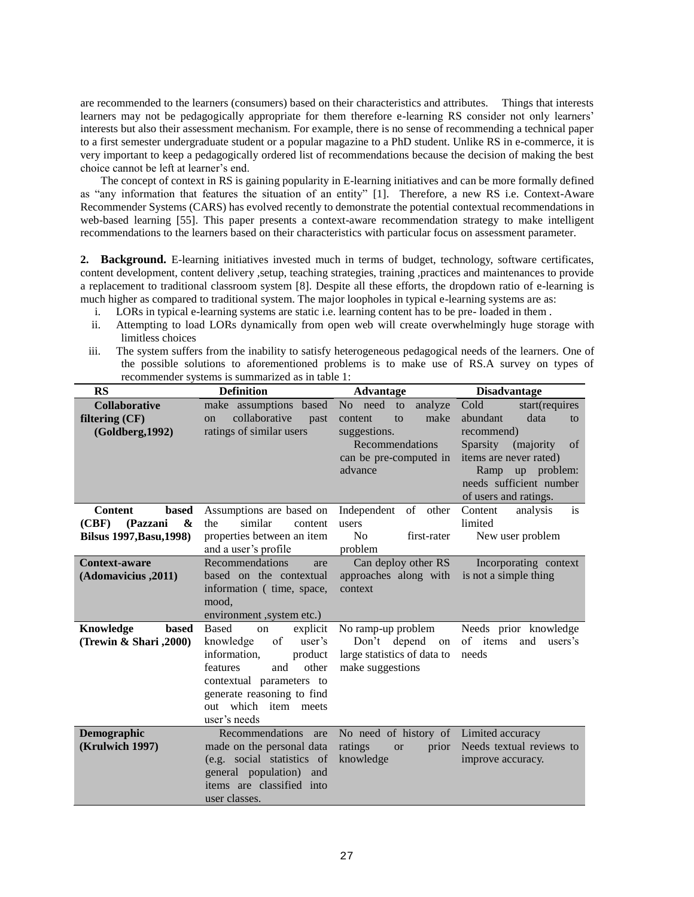are recommended to the learners (consumers) based on their characteristics and attributes. Things that interests learners may not be pedagogically appropriate for them therefore e-learning RS consider not only learners' interests but also their assessment mechanism. For example, there is no sense of recommending a technical paper to a first semester undergraduate student or a popular magazine to a PhD student. Unlike RS in e-commerce, it is very important to keep a pedagogically ordered list of recommendations because the decision of making the best choice cannot be left at learner"s end.

The concept of context in RS is gaining popularity in E-learning initiatives and can be more formally defined as "any information that features the situation of an entity" [1]. Therefore, a new RS i.e. Context-Aware Recommender Systems (CARS) has evolved recently to demonstrate the potential contextual recommendations in web-based learning [55]. This paper presents a context-aware recommendation strategy to make intelligent recommendations to the learners based on their characteristics with particular focus on assessment parameter.

**2. Background.** E-learning initiatives invested much in terms of budget, technology, software certificates, content development, content delivery ,setup, teaching strategies, training ,practices and maintenances to provide a replacement to traditional classroom system [8]. Despite all these efforts, the dropdown ratio of e-learning is much higher as compared to traditional system. The major loopholes in typical e-learning systems are as:

- i. LORs in typical e-learning systems are static i.e. learning content has to be pre- loaded in them .
- ii. Attempting to load LORs dynamically from open web will create overwhelmingly huge storage with limitless choices
- iii. The system suffers from the inability to satisfy heterogeneous pedagogical needs of the learners. One of the possible solutions to aforementioned problems is to make use of RS.A survey on types of recommender systems is summarized as in table 1:

| <b>RS</b>                       | <b>Definition</b>                      | <b>Advantage</b>                       | <b>Disadvantage</b>          |
|---------------------------------|----------------------------------------|----------------------------------------|------------------------------|
| <b>Collaborative</b>            | make assumptions based                 | No need<br>analyze<br>to               | Cold<br>start(requires       |
| filtering (CF)                  | collaborative<br>past<br><sub>on</sub> | make<br>to<br>content                  | abundant<br>data<br>to       |
| (Goldberg, 1992)                | ratings of similar users               | suggestions.                           | recommend)                   |
|                                 |                                        | Recommendations                        | Sparsity<br>(majority)<br>of |
|                                 |                                        | can be pre-computed in                 | items are never rated)       |
|                                 |                                        | advance                                | Ramp<br>up problem:          |
|                                 |                                        |                                        | needs sufficient number      |
|                                 |                                        |                                        | of users and ratings.        |
| <b>based</b><br><b>Content</b>  | Assumptions are based on               | Independent<br>of other                | is<br>analysis<br>Content    |
| (CBF)<br>&<br>(Pazzani          | similar<br>the<br>content              | users                                  | limited                      |
| <b>Bilsus 1997, Basu, 1998)</b> | properties between an item             | No<br>first-rater                      | New user problem             |
|                                 | and a user's profile                   | problem                                |                              |
| <b>Context-aware</b>            | Recommendations<br>are                 | Can deploy other RS                    | Incorporating context        |
| (Adomavicius, 2011)             | based on the contextual                | approaches along with<br>context       | is not a simple thing        |
|                                 | information ( time, space,<br>mood,    |                                        |                              |
|                                 | environment, system etc.)              |                                        |                              |
| Knowledge<br>based              | <b>Based</b><br>explicit<br>on         | No ramp-up problem                     | Needs prior knowledge        |
| (Trewin & Shari, 2000)          | knowledge<br>of<br>user's              | Don't depend<br>on                     | of items<br>and<br>users's   |
|                                 | information,<br>product                | large statistics of data to            | needs                        |
|                                 | other<br>features<br>and               | make suggestions                       |                              |
|                                 | contextual parameters to               |                                        |                              |
|                                 | generate reasoning to find             |                                        |                              |
|                                 | out which item meets                   |                                        |                              |
|                                 | user's needs                           |                                        |                              |
| <b>Demographic</b>              | Recommendations are                    | No need of history of Limited accuracy |                              |
| (Krulwich 1997)                 | made on the personal data              | ratings<br>prior<br><b>or</b>          | Needs textual reviews to     |
|                                 | (e.g. social statistics of             | knowledge                              | improve accuracy.            |
|                                 | general population) and                |                                        |                              |
|                                 | items are classified into              |                                        |                              |
|                                 | user classes.                          |                                        |                              |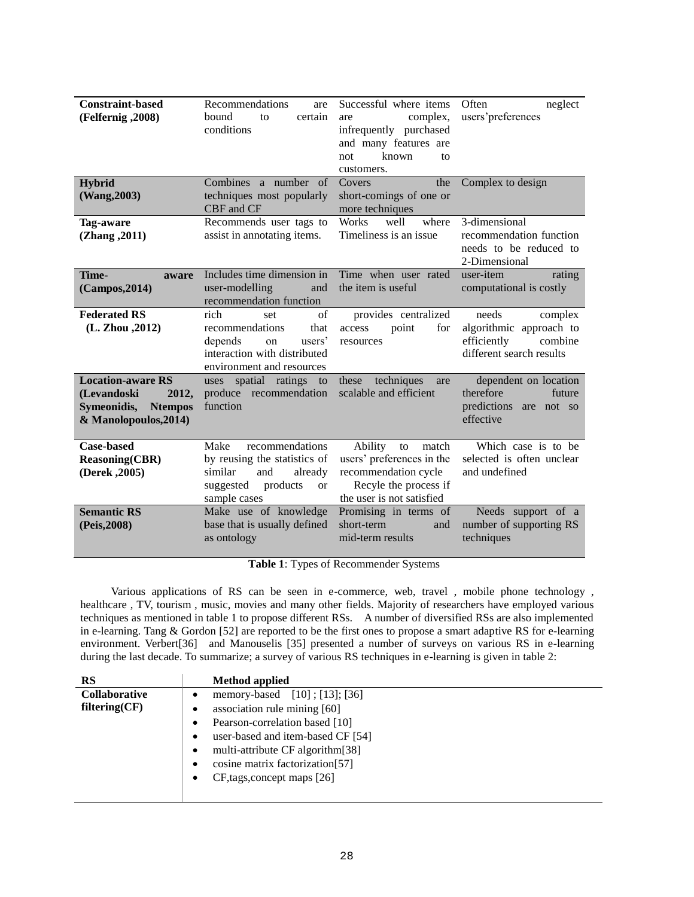| <b>Constraint-based</b><br>(Felfernig, 2008)                                                               | Recommendations<br>are<br>bound<br>certain<br>to<br>conditions                                                                       | Successful where items<br>complex,<br>are<br>infrequently purchased<br>and many features are<br>known<br>not<br>to<br>customers.  | Often<br>neglect<br>users'preferences                                                             |
|------------------------------------------------------------------------------------------------------------|--------------------------------------------------------------------------------------------------------------------------------------|-----------------------------------------------------------------------------------------------------------------------------------|---------------------------------------------------------------------------------------------------|
| <b>Hybrid</b><br>(Wang, 2003)                                                                              | Combines a number of<br>techniques most popularly<br>CBF and CF                                                                      | Covers<br>the<br>short-comings of one or<br>more techniques                                                                       | Complex to design                                                                                 |
| Tag-aware<br>(Zhang, 2011)                                                                                 | Recommends user tags to<br>assist in annotating items.                                                                               | <b>Works</b><br>well<br>where<br>Timeliness is an issue.                                                                          | 3-dimensional<br>recommendation function<br>needs to be reduced to<br>2-Dimensional               |
| Time-<br>aware<br>(Campos, 2014)                                                                           | Includes time dimension in<br>user-modelling<br>and<br>recommendation function                                                       | Time when user rated<br>the item is useful                                                                                        | user-item<br>rating<br>computational is costly                                                    |
| <b>Federated RS</b><br>(L. Zhou , 2012)                                                                    | rich<br>of<br>set<br>that<br>recommendations<br>depends<br>users'<br>on<br>interaction with distributed<br>environment and resources | provides centralized<br>access<br>point<br>for<br>resources                                                                       | needs<br>complex<br>algorithmic approach to<br>efficiently<br>combine<br>different search results |
| <b>Location-aware RS</b><br>(Levandoski<br>2012,<br>Symeonidis,<br><b>Ntempos</b><br>& Manolopoulos, 2014) | uses spatial ratings<br>to<br>produce recommendation<br>function                                                                     | techniques<br>these<br>are<br>scalable and efficient                                                                              | dependent on location<br>therefore<br>future<br>predictions are<br>not so<br>effective            |
| <b>Case-based</b><br><b>Reasoning(CBR)</b><br>(Derek, 2005)                                                | recommendations<br>Make<br>by reusing the statistics of<br>similar<br>and<br>already<br>products<br>suggested<br>or<br>sample cases  | Ability<br>match<br>to<br>users' preferences in the<br>recommendation cycle<br>Recyle the process if<br>the user is not satisfied | Which case is to be<br>selected is often unclear<br>and undefined                                 |
| <b>Semantic RS</b><br>(Peis, 2008)                                                                         | Make use of knowledge<br>base that is usually defined<br>as ontology                                                                 | Promising in terms of<br>short-term<br>and<br>mid-term results                                                                    | Needs support of a<br>number of supporting RS<br>techniques                                       |

**Table 1**: Types of Recommender Systems

Various applications of RS can be seen in e-commerce, web, travel , mobile phone technology , healthcare , TV, tourism , music, movies and many other fields. Majority of researchers have employed various techniques as mentioned in table 1 to propose different RSs. A number of diversified RSs are also implemented in e-learning. Tang & Gordon [52] are reported to be the first ones to propose a smart adaptive RS for e-learning environment. Verbert[36] and Manouselis [35] presented a number of surveys on various RS in e-learning during the last decade. To summarize; a survey of various RS techniques in e-learning is given in table 2:

| RS            | <b>Method</b> applied                  |
|---------------|----------------------------------------|
| Collaborative | memory-based [10]; [13]; [36]<br>٠     |
| filtering(CF) | association rule mining [60]<br>٠      |
|               | Pearson-correlation based [10]<br>٠    |
|               | user-based and item-based CF [54]<br>٠ |
|               | multi-attribute CF algorithm[38]<br>٠  |
|               | cosine matrix factorization [57]<br>٠  |
|               | CF, tags, concept maps [26]<br>٠       |
|               |                                        |
|               |                                        |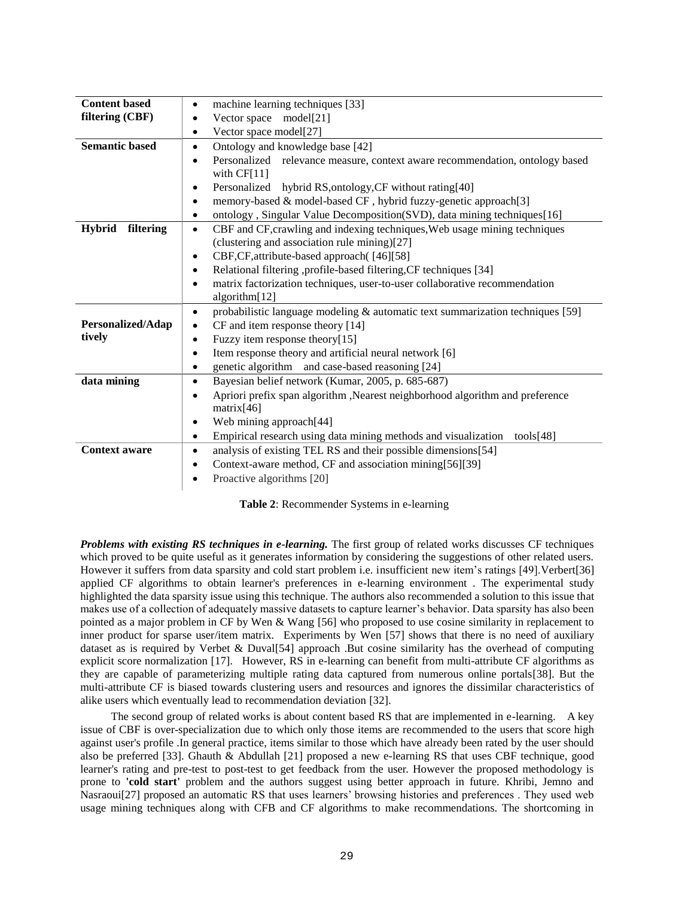| <b>Content based</b>       | machine learning techniques [33]                                                                                          |  |  |
|----------------------------|---------------------------------------------------------------------------------------------------------------------------|--|--|
| filtering (CBF)            | Vector space model[21]                                                                                                    |  |  |
|                            | Vector space model[27]<br>٠                                                                                               |  |  |
| <b>Semantic based</b>      | Ontology and knowledge base [42]<br>$\bullet$                                                                             |  |  |
|                            | Personalized relevance measure, context aware recommendation, ontology based<br>$\bullet$<br>with $CF[11]$                |  |  |
|                            | Personalized hybrid RS, ontology, CF without rating [40]                                                                  |  |  |
|                            | memory-based & model-based CF, hybrid fuzzy-genetic approach[3]                                                           |  |  |
|                            | ontology, Singular Value Decomposition(SVD), data mining techniques[16]<br>$\bullet$                                      |  |  |
| <b>Hybrid</b><br>filtering | CBF and CF, crawling and indexing techniques, Web usage mining techniques<br>(clustering and association rule mining)[27] |  |  |
|                            | CBF,CF, attribute-based approach ([46][58]<br>$\bullet$                                                                   |  |  |
|                            | Relational filtering , profile-based filtering, CF techniques [34]                                                        |  |  |
|                            | matrix factorization techniques, user-to-user collaborative recommendation<br>$\bullet$                                   |  |  |
|                            | algorithm[12]                                                                                                             |  |  |
|                            | probabilistic language modeling & automatic text summarization techniques [59]<br>$\bullet$                               |  |  |
| Personalized/Adap          | CF and item response theory [14]<br>٠                                                                                     |  |  |
| tively                     | Fuzzy item response theory[15]                                                                                            |  |  |
|                            | Item response theory and artificial neural network [6]                                                                    |  |  |
|                            | genetic algorithm and case-based reasoning [24]<br>٠                                                                      |  |  |
| data mining                | Bayesian belief network (Kumar, 2005, p. 685-687)<br>$\bullet$                                                            |  |  |
|                            | Apriori prefix span algorithm , Nearest neighborhood algorithm and preference<br>$\bullet$                                |  |  |
|                            | matrix[46]                                                                                                                |  |  |
|                            | Web mining approach[44]<br>$\bullet$                                                                                      |  |  |
|                            | Empirical research using data mining methods and visualization<br>tools $[48]$<br>٠                                       |  |  |
| <b>Context aware</b>       | analysis of existing TEL RS and their possible dimensions[54]<br>$\bullet$                                                |  |  |
|                            | Context-aware method, CF and association mining[56][39]<br>$\bullet$                                                      |  |  |
|                            | Proactive algorithms [20]<br>$\bullet$                                                                                    |  |  |
|                            |                                                                                                                           |  |  |

**Table 2**: Recommender Systems in e-learning

*Problems with existing RS techniques in e-learning.* The first group of related works discusses CF techniques which proved to be quite useful as it generates information by considering the suggestions of other related users. However it suffers from data sparsity and cold start problem i.e. insufficient new item's ratings [49]. Verbert[36] applied CF algorithms to obtain learner's preferences in e-learning environment . The experimental study highlighted the data sparsity issue using this technique. The authors also recommended a solution to this issue that makes use of a collection of adequately massive datasets to capture learner"s behavior. Data sparsity has also been pointed as a major problem in CF by Wen & Wang [56] who proposed to use cosine similarity in replacement to inner product for sparse user/item matrix. Experiments by Wen [57] shows that there is no need of auxiliary dataset as is required by Verbet & Duval[54] approach .But cosine similarity has the overhead of computing explicit score normalization [17]. However, RS in e-learning can benefit from multi-attribute CF algorithms as they are capable of parameterizing multiple rating data captured from numerous online portals[38]. But the multi-attribute CF is biased towards clustering users and resources and ignores the dissimilar characteristics of alike users which eventually lead to recommendation deviation [32].

 The second group of related works is about content based RS that are implemented in e-learning. A key issue of CBF is over-specialization due to which only those items are recommended to the users that score high against user's profile .In general practice, items similar to those which have already been rated by the user should also be preferred [33]. Ghauth & Abdullah [21] proposed a new e-learning RS that uses CBF technique, good learner's rating and pre-test to post-test to get feedback from the user. However the proposed methodology is prone to **'cold start'** problem and the authors suggest using better approach in future. Khribi, Jemno and Nasraoui[27] proposed an automatic RS that uses learners' browsing histories and preferences. They used web usage mining techniques along with CFB and CF algorithms to make recommendations. The shortcoming in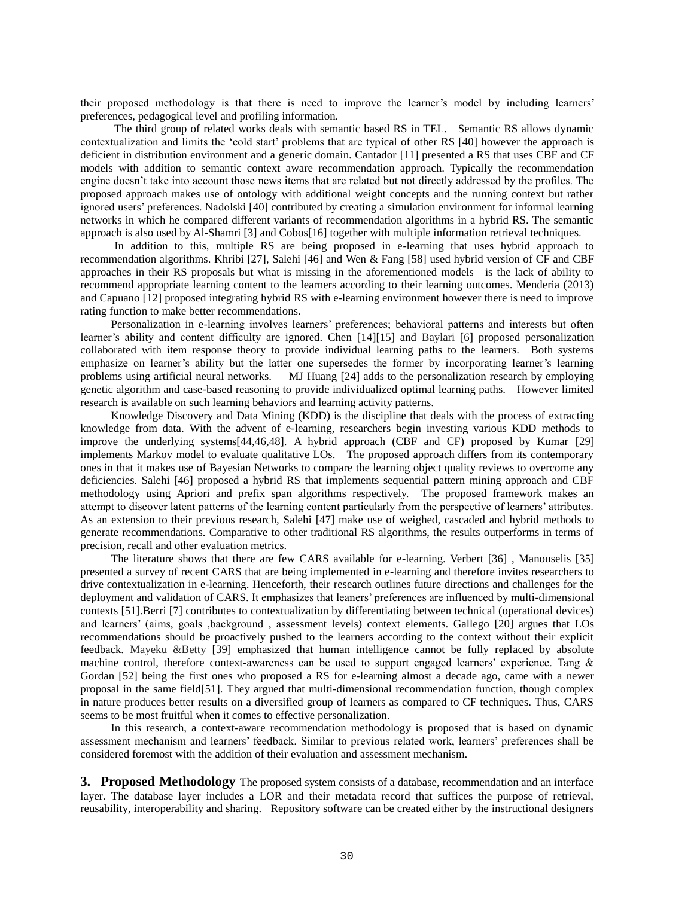their proposed methodology is that there is need to improve the learner"s model by including learners" preferences, pedagogical level and profiling information.

 The third group of related works deals with semantic based RS in TEL. Semantic RS allows dynamic contextualization and limits the "cold start" problems that are typical of other RS [40] however the approach is deficient in distribution environment and a generic domain. Cantador [11] presented a RS that uses CBF and CF models with addition to semantic context aware recommendation approach. Typically the recommendation engine doesn"t take into account those news items that are related but not directly addressed by the profiles. The proposed approach makes use of ontology with additional weight concepts and the running context but rather ignored users" preferences. Nadolski [40] contributed by creating a simulation environment for informal learning networks in which he compared different variants of recommendation algorithms in a hybrid RS. The semantic approach is also used by Al-Shamri [3] and Cobos[16] together with multiple information retrieval techniques.

 In addition to this, multiple RS are being proposed in e-learning that uses hybrid approach to recommendation algorithms. Khribi [27], Salehi [46] and Wen & Fang [58] used hybrid version of CF and CBF approaches in their RS proposals but what is missing in the aforementioned models is the lack of ability to recommend appropriate learning content to the learners according to their learning outcomes. Menderia (2013) and Capuano [12] proposed integrating hybrid RS with e-learning environment however there is need to improve rating function to make better recommendations.

Personalization in e-learning involves learners" preferences; behavioral patterns and interests but often learner's ability and content difficulty are ignored. Chen [14][15] and Baylari [6] proposed personalization collaborated with item response theory to provide individual learning paths to the learners. Both systems emphasize on learner's ability but the latter one supersedes the former by incorporating learner's learning problems using artificial neural networks. MJ Huang [24] adds to the personalization research by employing genetic algorithm and case-based reasoning to provide individualized optimal learning paths. However limited research is available on such learning behaviors and learning activity patterns.

Knowledge Discovery and Data Mining (KDD) is the discipline that deals with the process of extracting knowledge from data. With the advent of e-learning, researchers begin investing various KDD methods to improve the underlying systems[44,46,48]. A hybrid approach (CBF and CF) proposed by Kumar [29] implements Markov model to evaluate qualitative LOs. The proposed approach differs from its contemporary ones in that it makes use of Bayesian Networks to compare the learning object quality reviews to overcome any deficiencies. Salehi [46] proposed a hybrid RS that implements sequential pattern mining approach and CBF methodology using Apriori and prefix span algorithms respectively. The proposed framework makes an attempt to discover latent patterns of the learning content particularly from the perspective of learners" attributes. As an extension to their previous research, Salehi [47] make use of weighed, cascaded and hybrid methods to generate recommendations. Comparative to other traditional RS algorithms, the results outperforms in terms of precision, recall and other evaluation metrics.

The literature shows that there are few CARS available for e-learning. Verbert [36] , Manouselis [35] presented a survey of recent CARS that are being implemented in e-learning and therefore invites researchers to drive contextualization in e-learning. Henceforth, their research outlines future directions and challenges for the deployment and validation of CARS. It emphasizes that leaners" preferences are influenced by multi-dimensional contexts [51].Berri [7] contributes to contextualization by differentiating between technical (operational devices) and learners" (aims, goals ,background , assessment levels) context elements. Gallego [20] argues that LOs recommendations should be proactively pushed to the learners according to the context without their explicit feedback. Mayeku &Betty [39] emphasized that human intelligence cannot be fully replaced by absolute machine control, therefore context-awareness can be used to support engaged learners" experience. Tang & Gordan [52] being the first ones who proposed a RS for e-learning almost a decade ago, came with a newer proposal in the same field[51]. They argued that multi-dimensional recommendation function, though complex in nature produces better results on a diversified group of learners as compared to CF techniques. Thus, CARS seems to be most fruitful when it comes to effective personalization.

In this research, a context-aware recommendation methodology is proposed that is based on dynamic assessment mechanism and learners" feedback. Similar to previous related work, learners" preferences shall be considered foremost with the addition of their evaluation and assessment mechanism.

**3. Proposed Methodology** The proposed system consists of a database, recommendation and an interface layer. The database layer includes a LOR and their metadata record that suffices the purpose of retrieval, reusability, interoperability and sharing. Repository software can be created either by the instructional designers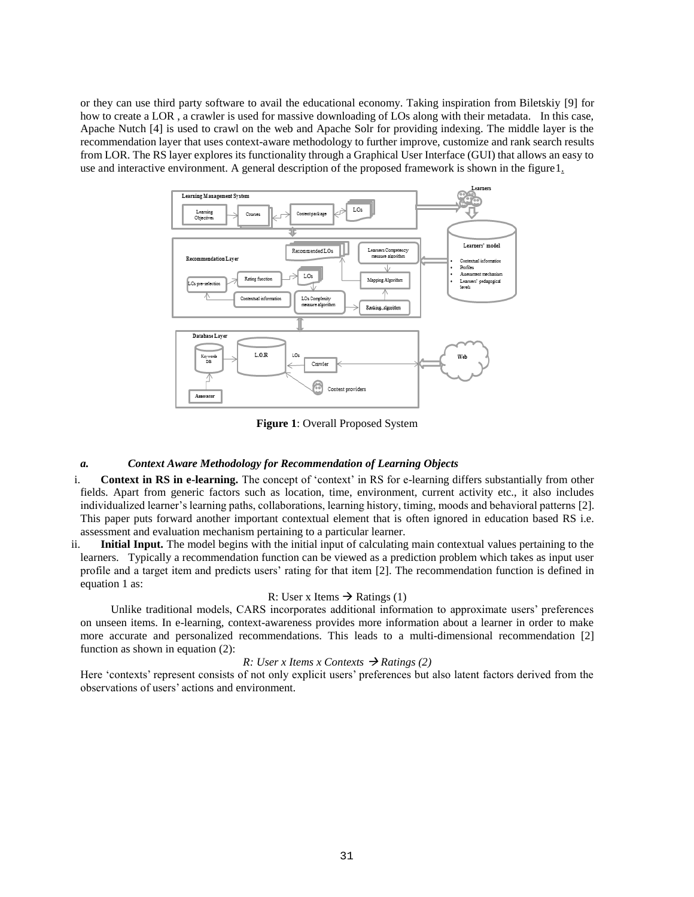or they can use third party software to avail the educational economy. Taking inspiration from Biletskiy [9] for how to create a LOR , a crawler is used for massive downloading of LOs along with their metadata. In this case, Apache Nutch [4] is used to crawl on the web and Apache Solr for providing indexing. The middle layer is the recommendation layer that uses context-aware methodology to further improve, customize and rank search results from LOR. The RS layer explores its functionality through a Graphical User Interface (GUI) that allows an easy to use and interactive environment. A general description of the proposed framework is shown in the figure 1.



**Figure 1**: Overall Proposed System

## *a. Context Aware Methodology for Recommendation of Learning Objects*

- i. **Context in RS in e-learning.** The concept of 'context' in RS for e-learning differs substantially from other fields. Apart from generic factors such as location, time, environment, current activity etc., it also includes individualized learner"s learning paths, collaborations, learning history, timing, moods and behavioral patterns [2]. This paper puts forward another important contextual element that is often ignored in education based RS i.e. assessment and evaluation mechanism pertaining to a particular learner.
- ii. **Initial Input.** The model begins with the initial input of calculating main contextual values pertaining to the learners. Typically a recommendation function can be viewed as a prediction problem which takes as input user profile and a target item and predicts users" rating for that item [2]. The recommendation function is defined in equation 1 as:

#### R: User x Items  $\rightarrow$  Ratings (1)

Unlike traditional models, CARS incorporates additional information to approximate users" preferences on unseen items. In e-learning, context-awareness provides more information about a learner in order to make more accurate and personalized recommendations. This leads to a multi-dimensional recommendation [2] function as shown in equation (2):

#### *R: User x Items x Contexts*  $\rightarrow$  *Ratings* (2)

Here 'contexts' represent consists of not only explicit users' preferences but also latent factors derived from the observations of users" actions and environment.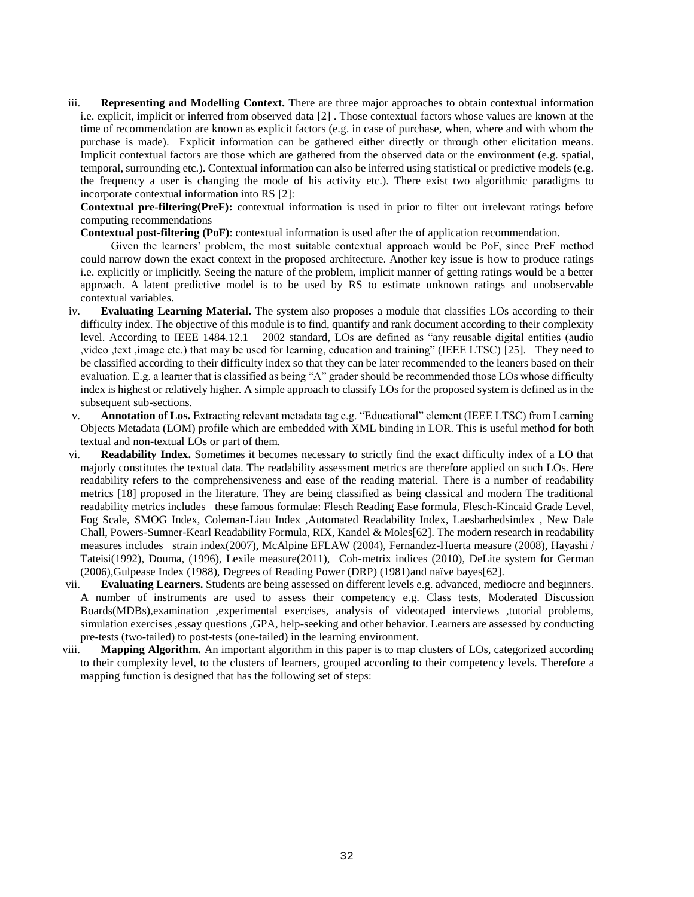iii. **Representing and Modelling Context.** There are three major approaches to obtain contextual information i.e. explicit, implicit or inferred from observed data [2] . Those contextual factors whose values are known at the time of recommendation are known as explicit factors (e.g. in case of purchase, when, where and with whom the purchase is made). Explicit information can be gathered either directly or through other elicitation means. Implicit contextual factors are those which are gathered from the observed data or the environment (e.g. spatial, temporal, surrounding etc.). Contextual information can also be inferred using statistical or predictive models (e.g. the frequency a user is changing the mode of his activity etc.). There exist two algorithmic paradigms to incorporate contextual information into RS [2]:

**Contextual pre-filtering(PreF):** contextual information is used in prior to filter out irrelevant ratings before computing recommendations

**Contextual post-filtering (PoF)**: contextual information is used after the of application recommendation.

Given the learners" problem, the most suitable contextual approach would be PoF, since PreF method could narrow down the exact context in the proposed architecture. Another key issue is how to produce ratings i.e. explicitly or implicitly. Seeing the nature of the problem, implicit manner of getting ratings would be a better approach. A latent predictive model is to be used by RS to estimate unknown ratings and unobservable contextual variables.

- iv. **Evaluating Learning Material.** The system also proposes a module that classifies LOs according to their difficulty index. The objective of this module is to find, quantify and rank document according to their complexity level. According to IEEE 1484.12.1 – 2002 standard, LOs are defined as "any reusable digital entities (audio ,video ,text ,image etc.) that may be used for learning, education and training" (IEEE LTSC) [25]. They need to be classified according to their difficulty index so that they can be later recommended to the leaners based on their evaluation. E.g. a learner that is classified as being "A" grader should be recommended those LOs whose difficulty index is highest or relatively higher. A simple approach to classify LOs for the proposed system is defined as in the subsequent sub-sections.
- v. **Annotation of Los.** Extracting relevant metadata tag e.g. "Educational" element (IEEE LTSC) from Learning Objects Metadata (LOM) profile which are embedded with XML binding in LOR. This is useful method for both textual and non-textual LOs or part of them.
- vi. **Readability Index.** Sometimes it becomes necessary to strictly find the exact difficulty index of a LO that majorly constitutes the textual data. The readability assessment metrics are therefore applied on such LOs. Here readability refers to the comprehensiveness and ease of the reading material. There is a number of readability metrics [18] proposed in the literature. They are being classified as being classical and modern The traditional readability metrics includes these famous formulae: Flesch Reading Ease formula, Flesch-Kincaid Grade Level, Fog Scale, SMOG Index, Coleman-Liau Index ,Automated Readability Index, Laesbarhedsindex , New Dale Chall, Powers-Sumner-Kearl Readability Formula, RIX, Kandel & Moles[62]. The modern research in readability measures includes strain index(2007), McAlpine EFLAW (2004), Fernandez-Huerta measure (2008), Hayashi / Tateisi(1992), Douma, (1996), Lexile measure(2011), Coh-metrix indices (2010), DeLite system for German (2006),Gulpease Index (1988), Degrees of Reading Power (DRP) (1981)and naïve bayes[62].
- vii. **Evaluating Learners.** Students are being assessed on different levels e.g. advanced, mediocre and beginners. A number of instruments are used to assess their competency e.g. Class tests, Moderated Discussion Boards(MDBs),examination ,experimental exercises, analysis of videotaped interviews ,tutorial problems, simulation exercises ,essay questions ,GPA, help-seeking and other behavior. Learners are assessed by conducting pre-tests (two-tailed) to post-tests (one-tailed) in the learning environment.
- viii. **Mapping Algorithm.** An important algorithm in this paper is to map clusters of LOs, categorized according to their complexity level, to the clusters of learners, grouped according to their competency levels. Therefore a mapping function is designed that has the following set of steps: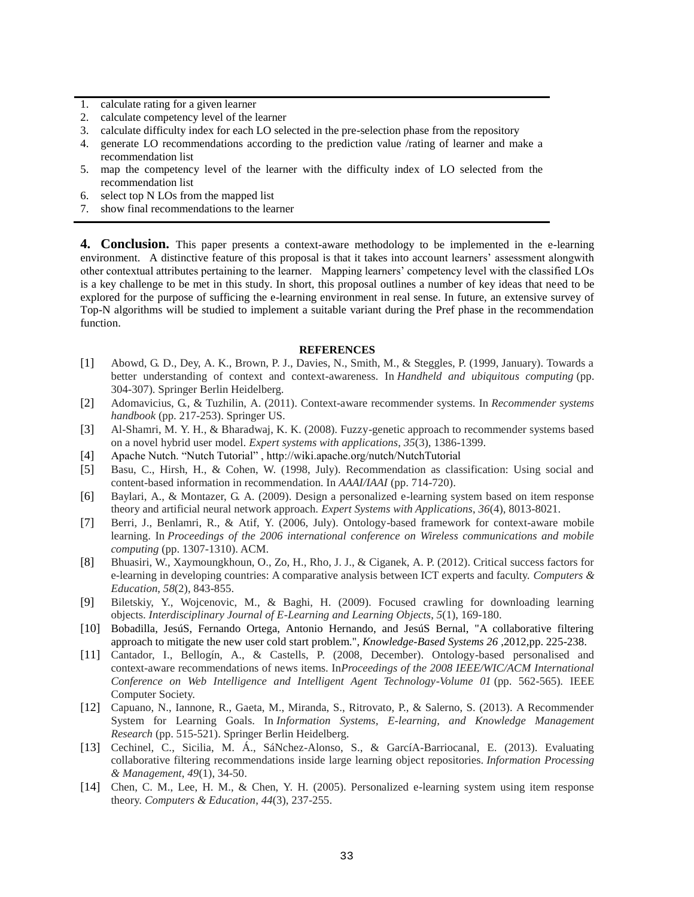- 1. calculate rating for a given learner
- 2. calculate competency level of the learner
- 3. calculate difficulty index for each LO selected in the pre-selection phase from the repository
- 4. generate LO recommendations according to the prediction value /rating of learner and make a recommendation list
- 5. map the competency level of the learner with the difficulty index of LO selected from the recommendation list
- 6. select top N LOs from the mapped list
- 7. show final recommendations to the learner

**4. Conclusion.** This paper presents a context-aware methodology to be implemented in the e-learning environment. A distinctive feature of this proposal is that it takes into account learners" assessment alongwith other contextual attributes pertaining to the learner. Mapping learners" competency level with the classified LOs is a key challenge to be met in this study. In short, this proposal outlines a number of key ideas that need to be explored for the purpose of sufficing the e-learning environment in real sense. In future, an extensive survey of Top-N algorithms will be studied to implement a suitable variant during the Pref phase in the recommendation function.

#### **REFERENCES**

- [1] Abowd, G. D., Dey, A. K., Brown, P. J., Davies, N., Smith, M., & Steggles, P. (1999, January). Towards a better understanding of context and context-awareness. In *Handheld and ubiquitous computing* (pp. 304-307). Springer Berlin Heidelberg.
- [2] Adomavicius, G., & Tuzhilin, A. (2011). Context-aware recommender systems. In *Recommender systems handbook* (pp. 217-253). Springer US.
- [3] Al-Shamri, M. Y. H., & Bharadwaj, K. K. (2008). Fuzzy-genetic approach to recommender systems based on a novel hybrid user model. *Expert systems with applications*, *35*(3), 1386-1399.
- [4] Apache Nutch. "Nutch Tutorial" , http://wiki.apache.org/nutch/NutchTutorial
- [5] Basu, C., Hirsh, H., & Cohen, W. (1998, July). Recommendation as classification: Using social and content-based information in recommendation. In *AAAI/IAAI* (pp. 714-720).
- [6] Baylari, A., & Montazer, G. A. (2009). Design a personalized e-learning system based on item response theory and artificial neural network approach. *Expert Systems with Applications*, *36*(4), 8013-8021.
- [7] Berri, J., Benlamri, R., & Atif, Y. (2006, July). Ontology-based framework for context-aware mobile learning. In *Proceedings of the 2006 international conference on Wireless communications and mobile computing* (pp. 1307-1310). ACM.
- [8] Bhuasiri, W., Xaymoungkhoun, O., Zo, H., Rho, J. J., & Ciganek, A. P. (2012). Critical success factors for e-learning in developing countries: A comparative analysis between ICT experts and faculty. *Computers & Education*, *58*(2), 843-855.
- [9] Biletskiy, Y., Wojcenovic, M., & Baghi, H. (2009). Focused crawling for downloading learning objects. *Interdisciplinary Journal of E-Learning and Learning Objects*, *5*(1), 169-180.
- [10] Bobadilla, JesúS, Fernando Ortega, Antonio Hernando, and JesúS Bernal, "A collaborative filtering approach to mitigate the new user cold start problem.", *Knowledge-Based Systems 26* ,2012,pp. 225-238.
- [11] Cantador, I., Bellogín, A., & Castells, P. (2008, December). Ontology-based personalised and context-aware recommendations of news items. In*Proceedings of the 2008 IEEE/WIC/ACM International Conference on Web Intelligence and Intelligent Agent Technology-Volume 01* (pp. 562-565). IEEE Computer Society.
- [12] Capuano, N., Iannone, R., Gaeta, M., Miranda, S., Ritrovato, P., & Salerno, S. (2013). A Recommender System for Learning Goals. In *Information Systems, E-learning, and Knowledge Management Research* (pp. 515-521). Springer Berlin Heidelberg.
- [13] Cechinel, C., Sicilia, M. Á., SáNchez-Alonso, S., & GarcíA-Barriocanal, E. (2013). Evaluating collaborative filtering recommendations inside large learning object repositories. *Information Processing & Management*, *49*(1), 34-50.
- [14] Chen, C. M., Lee, H. M., & Chen, Y. H. (2005). Personalized e-learning system using item response theory. *Computers & Education*, *44*(3), 237-255.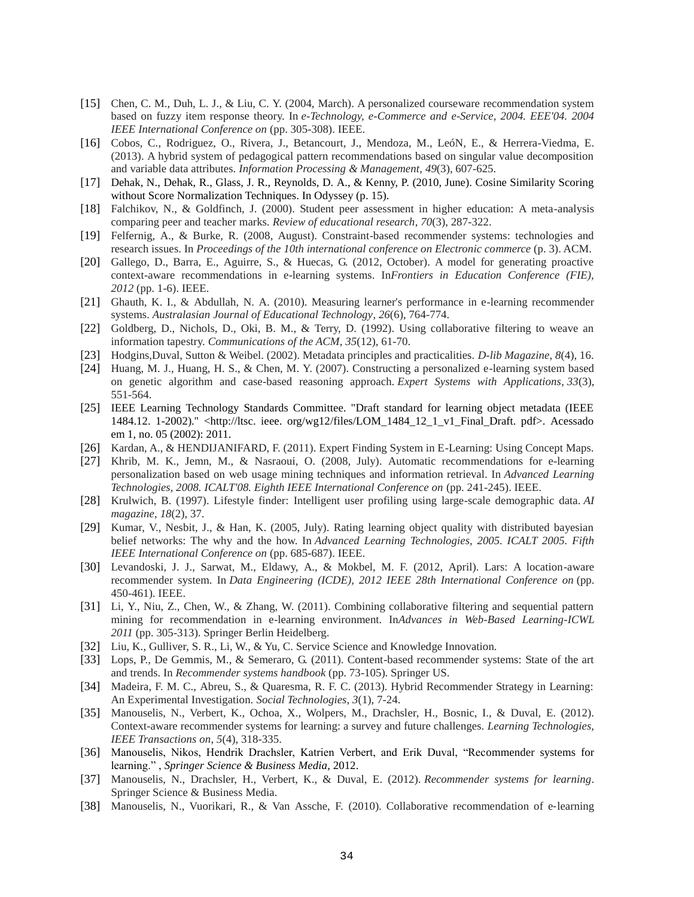- [15] Chen, C. M., Duh, L. J., & Liu, C. Y. (2004, March). A personalized courseware recommendation system based on fuzzy item response theory. In *e-Technology, e-Commerce and e-Service, 2004. EEE'04. 2004 IEEE International Conference on* (pp. 305-308). IEEE.
- [16] Cobos, C., Rodriguez, O., Rivera, J., Betancourt, J., Mendoza, M., LeóN, E., & Herrera-Viedma, E. (2013). A hybrid system of pedagogical pattern recommendations based on singular value decomposition and variable data attributes. *Information Processing & Management*, *49*(3), 607-625.
- [17] Dehak, N., Dehak, R., Glass, J. R., Reynolds, D. A., & Kenny, P. (2010, June). Cosine Similarity Scoring without Score Normalization Techniques. In Odyssey (p. 15).
- [18] Falchikov, N., & Goldfinch, J. (2000). Student peer assessment in higher education: A meta-analysis comparing peer and teacher marks. *Review of educational research*, *70*(3), 287-322.
- [19] Felfernig, A., & Burke, R. (2008, August). Constraint-based recommender systems: technologies and research issues. In *Proceedings of the 10th international conference on Electronic commerce* (p. 3). ACM.
- [20] Gallego, D., Barra, E., Aguirre, S., & Huecas, G. (2012, October). A model for generating proactive context-aware recommendations in e-learning systems. In*Frontiers in Education Conference (FIE), 2012* (pp. 1-6). IEEE.
- [21] Ghauth, K. I., & Abdullah, N. A. (2010). Measuring learner's performance in e-learning recommender systems. *Australasian Journal of Educational Technology*, *26*(6), 764-774.
- [22] Goldberg, D., Nichols, D., Oki, B. M., & Terry, D. (1992). Using collaborative filtering to weave an information tapestry. *Communications of the ACM*, *35*(12), 61-70.
- [23] Hodgins,Duval, Sutton & Weibel. (2002). Metadata principles and practicalities. *D-lib Magazine*, *8*(4), 16.
- [24] Huang, M. J., Huang, H. S., & Chen, M. Y. (2007). Constructing a personalized e-learning system based on genetic algorithm and case-based reasoning approach. *Expert Systems with Applications*, *33*(3), 551-564.
- [25] IEEE Learning Technology Standards Committee. "Draft standard for learning object metadata (IEEE 1484.12. 1-2002)." <http://ltsc. ieee. org/wg12/files/LOM\_1484\_12\_1\_v1\_Final\_Draft. pdf>. Acessado em 1, no. 05 (2002): 2011.
- [26] Kardan, A., & HENDIJANIFARD, F. (2011). Expert Finding System in E-Learning: Using Concept Maps.
- [27] Khrib, M. K., Jemn, M., & Nasraoui, O. (2008, July). Automatic recommendations for e-learning personalization based on web usage mining techniques and information retrieval. In *Advanced Learning Technologies, 2008. ICALT'08. Eighth IEEE International Conference on* (pp. 241-245). IEEE.
- [28] Krulwich, B. (1997). Lifestyle finder: Intelligent user profiling using large-scale demographic data. *AI magazine*, *18*(2), 37.
- [29] Kumar, V., Nesbit, J., & Han, K. (2005, July). Rating learning object quality with distributed bayesian belief networks: The why and the how. In *Advanced Learning Technologies, 2005. ICALT 2005. Fifth IEEE International Conference on* (pp. 685-687). IEEE.
- [30] Levandoski, J. J., Sarwat, M., Eldawy, A., & Mokbel, M. F. (2012, April). Lars: A location-aware recommender system. In *Data Engineering (ICDE), 2012 IEEE 28th International Conference on* (pp. 450-461). IEEE.
- [31] Li, Y., Niu, Z., Chen, W., & Zhang, W. (2011). Combining collaborative filtering and sequential pattern mining for recommendation in e-learning environment. In*Advances in Web-Based Learning-ICWL 2011* (pp. 305-313). Springer Berlin Heidelberg.
- [32] Liu, K., Gulliver, S. R., Li, W., & Yu, C. Service Science and Knowledge Innovation.
- [33] Lops, P., De Gemmis, M., & Semeraro, G. (2011). Content-based recommender systems: State of the art and trends. In *Recommender systems handbook* (pp. 73-105). Springer US.
- [34] Madeira, F. M. C., Abreu, S., & Quaresma, R. F. C. (2013). Hybrid Recommender Strategy in Learning: An Experimental Investigation. *Social Technologies*, *3*(1), 7-24.
- [35] Manouselis, N., Verbert, K., Ochoa, X., Wolpers, M., Drachsler, H., Bosnic, I., & Duval, E. (2012). Context-aware recommender systems for learning: a survey and future challenges. *Learning Technologies, IEEE Transactions on*, *5*(4), 318-335.
- [36] Manouselis, Nikos, Hendrik Drachsler, Katrien Verbert, and Erik Duval, "Recommender systems for learning." , *Springer Science & Business Media*, 2012.
- [37] Manouselis, N., Drachsler, H., Verbert, K., & Duval, E. (2012). *Recommender systems for learning*. Springer Science & Business Media.
- [38] Manouselis, N., Vuorikari, R., & Van Assche, F. (2010). Collaborative recommendation of e‐learning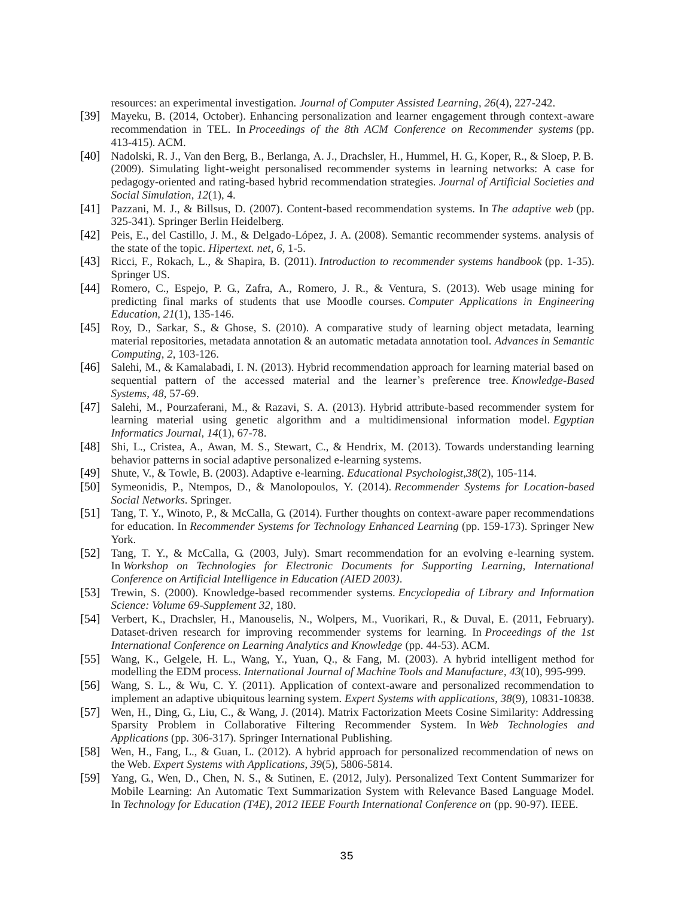resources: an experimental investigation. *Journal of Computer Assisted Learning*, *26*(4), 227-242.

- [39] Mayeku, B. (2014, October). Enhancing personalization and learner engagement through context-aware recommendation in TEL. In *Proceedings of the 8th ACM Conference on Recommender systems* (pp. 413-415). ACM.
- [40] Nadolski, R. J., Van den Berg, B., Berlanga, A. J., Drachsler, H., Hummel, H. G., Koper, R., & Sloep, P. B. (2009). Simulating light-weight personalised recommender systems in learning networks: A case for pedagogy-oriented and rating-based hybrid recommendation strategies. *Journal of Artificial Societies and Social Simulation*, *12*(1), 4.
- [41] Pazzani, M. J., & Billsus, D. (2007). Content-based recommendation systems. In *The adaptive web* (pp. 325-341). Springer Berlin Heidelberg.
- [42] Peis, E., del Castillo, J. M., & Delgado-López, J. A. (2008). Semantic recommender systems. analysis of the state of the topic. *Hipertext. net*, *6*, 1-5.
- [43] Ricci, F., Rokach, L., & Shapira, B. (2011). *Introduction to recommender systems handbook* (pp. 1-35). Springer US.
- [44] Romero, C., Espejo, P. G., Zafra, A., Romero, J. R., & Ventura, S. (2013). Web usage mining for predicting final marks of students that use Moodle courses. *Computer Applications in Engineering Education*, *21*(1), 135-146.
- [45] Roy, D., Sarkar, S., & Ghose, S. (2010). A comparative study of learning object metadata, learning material repositories, metadata annotation & an automatic metadata annotation tool. *Advances in Semantic Computing*, *2*, 103-126.
- [46] Salehi, M., & Kamalabadi, I. N. (2013). Hybrid recommendation approach for learning material based on sequential pattern of the accessed material and the learner"s preference tree. *Knowledge-Based Systems*, *48*, 57-69.
- [47] Salehi, M., Pourzaferani, M., & Razavi, S. A. (2013). Hybrid attribute-based recommender system for learning material using genetic algorithm and a multidimensional information model. *Egyptian Informatics Journal*, *14*(1), 67-78.
- [48] Shi, L., Cristea, A., Awan, M. S., Stewart, C., & Hendrix, M. (2013). Towards understanding learning behavior patterns in social adaptive personalized e-learning systems.
- [49] Shute, V., & Towle, B. (2003). Adaptive e-learning. *Educational Psychologist*,*38*(2), 105-114.
- [50] Symeonidis, P., Ntempos, D., & Manolopoulos, Y. (2014). *Recommender Systems for Location-based Social Networks*. Springer.
- [51] Tang, T. Y., Winoto, P., & McCalla, G. (2014). Further thoughts on context-aware paper recommendations for education. In *Recommender Systems for Technology Enhanced Learning* (pp. 159-173). Springer New York.
- [52] Tang, T. Y., & McCalla, G. (2003, July). Smart recommendation for an evolving e-learning system. In *Workshop on Technologies for Electronic Documents for Supporting Learning, International Conference on Artificial Intelligence in Education (AIED 2003)*.
- [53] Trewin, S. (2000). Knowledge-based recommender systems. *Encyclopedia of Library and Information Science: Volume 69-Supplement 32*, 180.
- [54] Verbert, K., Drachsler, H., Manouselis, N., Wolpers, M., Vuorikari, R., & Duval, E. (2011, February). Dataset-driven research for improving recommender systems for learning. In *Proceedings of the 1st International Conference on Learning Analytics and Knowledge* (pp. 44-53). ACM.
- [55] Wang, K., Gelgele, H. L., Wang, Y., Yuan, Q., & Fang, M. (2003). A hybrid intelligent method for modelling the EDM process. *International Journal of Machine Tools and Manufacture*, *43*(10), 995-999.
- [56] Wang, S. L., & Wu, C. Y. (2011). Application of context-aware and personalized recommendation to implement an adaptive ubiquitous learning system. *Expert Systems with applications*, *38*(9), 10831-10838.
- [57] Wen, H., Ding, G., Liu, C., & Wang, J. (2014). Matrix Factorization Meets Cosine Similarity: Addressing Sparsity Problem in Collaborative Filtering Recommender System. In *Web Technologies and Applications* (pp. 306-317). Springer International Publishing.
- [58] Wen, H., Fang, L., & Guan, L. (2012). A hybrid approach for personalized recommendation of news on the Web. *Expert Systems with Applications*, *39*(5), 5806-5814.
- [59] Yang, G., Wen, D., Chen, N. S., & Sutinen, E. (2012, July). Personalized Text Content Summarizer for Mobile Learning: An Automatic Text Summarization System with Relevance Based Language Model. In *Technology for Education (T4E), 2012 IEEE Fourth International Conference on* (pp. 90-97). IEEE.